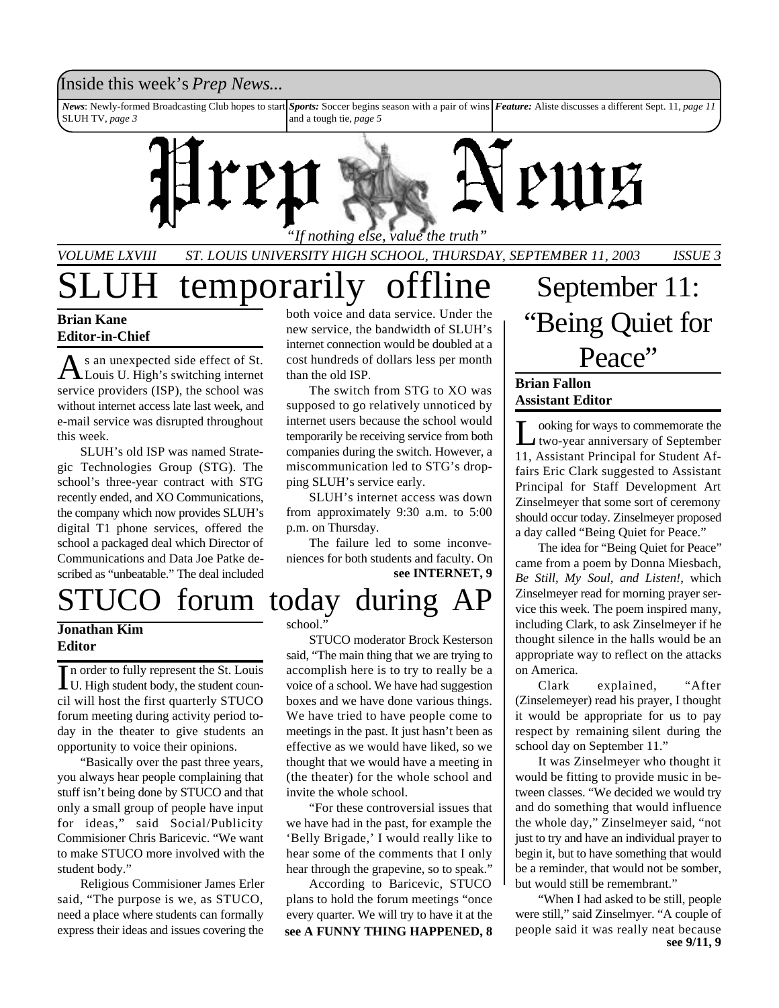#### Inside this week's *Prep News*...

*News*: Newly-formed Broadcasting Club hopes to start SLUH TV, *page 3 Sports:* Soccer begins season with a pair of wins *Feature:* Aliste discusses a different Sept. 11, *page 11* and a tough tie, *page 5*



## *VOLUME LXVIII ST. LOUIS UNIVERSITY HIGH SCHOOL, THURSDAY, SEPTEMBER 11, 2003 ISSUE 3*

# temporarily offline

#### **Brian Kane Editor-in-Chief**

As an unexpected side effect of St.<br>Louis U. High's switching internet s an unexpected side effect of St. service providers (ISP), the school was without internet access late last week, and e-mail service was disrupted throughout this week.

SLUH's old ISP was named Strategic Technologies Group (STG). The school's three-year contract with STG recently ended, and XO Communications, the company which now provides SLUH's digital T1 phone services, offered the school a packaged deal which Director of Communications and Data Joe Patke described as "unbeatable." The deal included

#### **Jonathan Kim Editor**

In order to fully represent the St. Louis<br>U. High student body, the student counn order to fully represent the St. Louis cil will host the first quarterly STUCO forum meeting during activity period today in the theater to give students an opportunity to voice their opinions.

"Basically over the past three years, you always hear people complaining that stuff isn't being done by STUCO and that only a small group of people have input for ideas," said Social/Publicity Commisioner Chris Baricevic. "We want to make STUCO more involved with the student body."

Religious Commisioner James Erler said, "The purpose is we, as STUCO, need a place where students can formally express their ideas and issues covering the

both voice and data service. Under the new service, the bandwidth of SLUH's internet connection would be doubled at a cost hundreds of dollars less per month than the old ISP.

The switch from STG to XO was supposed to go relatively unnoticed by internet users because the school would temporarily be receiving service from both companies during the switch. However, a miscommunication led to STG's dropping SLUH's service early.

SLUH's internet access was down from approximately 9:30 a.m. to 5:00 p.m. on Thursday.

The failure led to some inconveniences for both students and faculty. On **see INTERNET, 9**

# forum today during

#### school."

STUCO moderator Brock Kesterson said, "The main thing that we are trying to accomplish here is to try to really be a voice of a school. We have had suggestion boxes and we have done various things. We have tried to have people come to meetings in the past. It just hasn't been as effective as we would have liked, so we thought that we would have a meeting in (the theater) for the whole school and invite the whole school.

"For these controversial issues that we have had in the past, for example the 'Belly Brigade,' I would really like to hear some of the comments that I only hear through the grapevine, so to speak."

**see A FUNNY THING HAPPENED, 8** According to Baricevic, STUCO plans to hold the forum meetings "once every quarter. We will try to have it at the

September 11: "Being Quiet for Peace"

#### **Brian Fallon Assistant Editor**

L ooking for ways to commemorate the two-year anniversary of September 11, Assistant Principal for Student Affairs Eric Clark suggested to Assistant Principal for Staff Development Art Zinselmeyer that some sort of ceremony should occur today. Zinselmeyer proposed a day called "Being Quiet for Peace."

The idea for "Being Quiet for Peace" came from a poem by Donna Miesbach, *Be Still, My Soul, and Listen!*, which Zinselmeyer read for morning prayer service this week. The poem inspired many, including Clark, to ask Zinselmeyer if he thought silence in the halls would be an appropriate way to reflect on the attacks on America.

Clark explained, "After (Zinselemeyer) read his prayer, I thought it would be appropriate for us to pay respect by remaining silent during the school day on September 11."

It was Zinselmeyer who thought it would be fitting to provide music in between classes. "We decided we would try and do something that would influence the whole day," Zinselmeyer said, "not just to try and have an individual prayer to begin it, but to have something that would be a reminder, that would not be somber, but would still be remembrant."

**see 9/11, 9** "When I had asked to be still, people were still," said Zinselmyer. "A couple of people said it was really neat because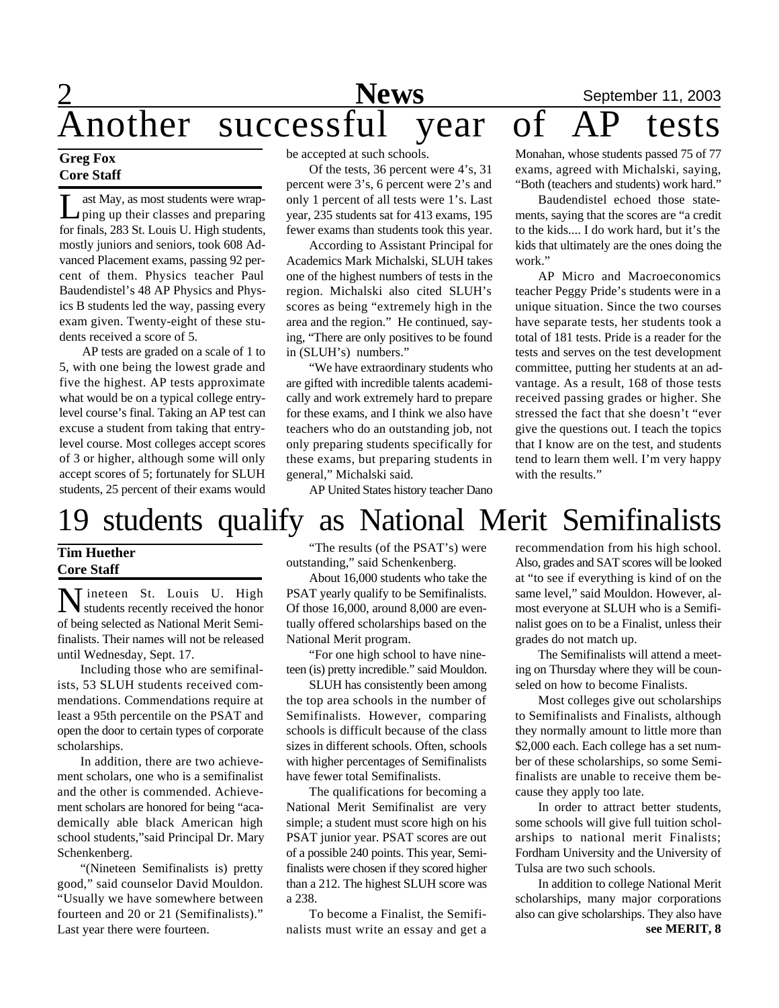## 2 **News** September 11, 2003 **Another successful year of AP tests**<br>Another successful year of AP tests

#### **Greg Fox Core Staff**

 $\prod_{\alpha\in\mathcal{A}}$ ast May, as most students were wrapping up their classes and preparing for finals, 283 St. Louis U. High students, mostly juniors and seniors, took 608 Advanced Placement exams, passing 92 percent of them. Physics teacher Paul Baudendistel's 48 AP Physics and Physics B students led the way, passing every exam given. Twenty-eight of these students received a score of 5.

AP tests are graded on a scale of 1 to 5, with one being the lowest grade and five the highest. AP tests approximate what would be on a typical college entrylevel course's final. Taking an AP test can excuse a student from taking that entrylevel course. Most colleges accept scores of 3 or higher, although some will only accept scores of 5; fortunately for SLUH students, 25 percent of their exams would be accepted at such schools.

Of the tests, 36 percent were 4's, 31 percent were 3's, 6 percent were 2's and only 1 percent of all tests were 1's. Last year, 235 students sat for 413 exams, 195 fewer exams than students took this year.

According to Assistant Principal for Academics Mark Michalski, SLUH takes one of the highest numbers of tests in the region. Michalski also cited SLUH's scores as being "extremely high in the area and the region." He continued, saying, "There are only positives to be found in (SLUH's) numbers."

"We have extraordinary students who are gifted with incredible talents academically and work extremely hard to prepare for these exams, and I think we also have teachers who do an outstanding job, not only preparing students specifically for these exams, but preparing students in general," Michalski said.

AP United States history teacher Dano

Monahan, whose students passed 75 of 77 exams, agreed with Michalski, saying, "Both (teachers and students) work hard."

Baudendistel echoed those statements, saying that the scores are "a credit to the kids.... I do work hard, but it's the kids that ultimately are the ones doing the work."

AP Micro and Macroeconomics teacher Peggy Pride's students were in a unique situation. Since the two courses have separate tests, her students took a total of 181 tests. Pride is a reader for the tests and serves on the test development committee, putting her students at an advantage. As a result, 168 of those tests received passing grades or higher. She stressed the fact that she doesn't "ever give the questions out. I teach the topics that I know are on the test, and students tend to learn them well. I'm very happy with the results."

## 19 students qualify as National Merit Semifinalists

#### **Tim Huether Core Staff**

**N** ineteen St. Louis U. High Tineteen St. Louis U. High of being selected as National Merit Semifinalists. Their names will not be released until Wednesday, Sept. 17.

Including those who are semifinalists, 53 SLUH students received commendations. Commendations require at least a 95th percentile on the PSAT and open the door to certain types of corporate scholarships.

In addition, there are two achievement scholars, one who is a semifinalist and the other is commended. Achievement scholars are honored for being "academically able black American high school students,"said Principal Dr. Mary Schenkenberg.

"(Nineteen Semifinalists is) pretty good," said counselor David Mouldon. "Usually we have somewhere between fourteen and 20 or 21 (Semifinalists)." Last year there were fourteen.

"The results (of the PSAT's) were outstanding," said Schenkenberg.

About 16,000 students who take the PSAT yearly qualify to be Semifinalists. Of those 16,000, around 8,000 are eventually offered scholarships based on the National Merit program.

"For one high school to have nineteen (is) pretty incredible." said Mouldon.

SLUH has consistently been among the top area schools in the number of Semifinalists. However, comparing schools is difficult because of the class sizes in different schools. Often, schools with higher percentages of Semifinalists have fewer total Semifinalists.

The qualifications for becoming a National Merit Semifinalist are very simple; a student must score high on his PSAT junior year. PSAT scores are out of a possible 240 points. This year, Semifinalists were chosen if they scored higher than a 212. The highest SLUH score was a 238.

To become a Finalist, the Semifinalists must write an essay and get a recommendation from his high school. Also, grades and SAT scores will be looked at "to see if everything is kind of on the same level," said Mouldon. However, almost everyone at SLUH who is a Semifinalist goes on to be a Finalist, unless their grades do not match up.

The Semifinalists will attend a meeting on Thursday where they will be counseled on how to become Finalists.

Most colleges give out scholarships to Semifinalists and Finalists, although they normally amount to little more than \$2,000 each. Each college has a set number of these scholarships, so some Semifinalists are unable to receive them because they apply too late.

In order to attract better students, some schools will give full tuition scholarships to national merit Finalists; Fordham University and the University of Tulsa are two such schools.

**see MERIT, 8** In addition to college National Merit scholarships, many major corporations also can give scholarships. They also have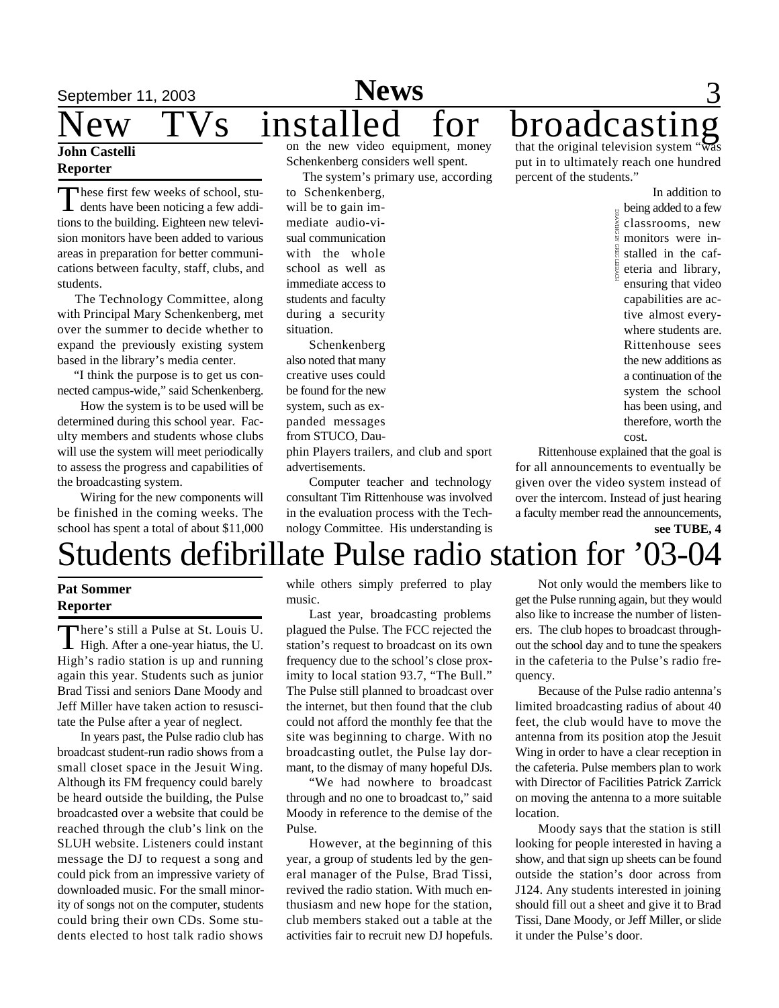#### **John Castelli Reporter**

These first few weeks of school, stu-<br>dents have been noticing a few addihese first few weeks of school, stutions to the building. Eighteen new television monitors have been added to various areas in preparation for better communications between faculty, staff, clubs, and students.

 The Technology Committee, along with Principal Mary Schenkenberg, met over the summer to decide whether to expand the previously existing system based in the library's media center.

 "I think the purpose is to get us connected campus-wide," said Schenkenberg.

How the system is to be used will be determined during this school year. Faculty members and students whose clubs will use the system will meet periodically to assess the progress and capabilities of the broadcasting system.

Wiring for the new components will be finished in the coming weeks. The school has spent a total of about \$11,000

on the new video equipment, money Schenkenberg considers well spent.

The system's primary use, according

to Schenkenberg, will be to gain immediate audio-visual communication with the whole school as well as immediate access to students and faculty during a security situation.

Schenkenberg also noted that many creative uses could be found for the new system, such as expanded messages from STUCO, Dau-

phin Players trailers, and club and sport advertisements.

Computer teacher and technology consultant Tim Rittenhouse was involved in the evaluation process with the Technology Committee. His understanding is that the original television system " $\mathbf{\hat{w}}$ put in to ultimately reach one hundred percent of the students."

> In addition to  $\frac{1}{8}$  being added to a few classrooms, new **monitors** were in- $\frac{8}{3}$  stalled in the cafeteria and library, ensuring that video capabilities are active almost everywhere students are. Rittenhouse sees the new additions as a continuation of the system the school has been using, and therefore, worth the cost.

Rittenhouse explained that the goal is for all announcements to eventually be given over the video system instead of over the intercom. Instead of just hearing a faculty member read the announcements, **see TUBE, 4**

## Students defibrillate Pulse radio station for '03-04

#### **Pat Sommer Reporter**

There's still a Pulse at St. Louis U.<br>High. After a one-year hiatus, the U. here's still a Pulse at St. Louis U. High's radio station is up and running again this year. Students such as junior Brad Tissi and seniors Dane Moody and Jeff Miller have taken action to resuscitate the Pulse after a year of neglect.

In years past, the Pulse radio club has broadcast student-run radio shows from a small closet space in the Jesuit Wing. Although its FM frequency could barely be heard outside the building, the Pulse broadcasted over a website that could be reached through the club's link on the SLUH website. Listeners could instant message the DJ to request a song and could pick from an impressive variety of downloaded music. For the small minority of songs not on the computer, students could bring their own CDs. Some students elected to host talk radio shows

while others simply preferred to play music.

Last year, broadcasting problems plagued the Pulse. The FCC rejected the station's request to broadcast on its own frequency due to the school's close proximity to local station 93.7, "The Bull." The Pulse still planned to broadcast over the internet, but then found that the club could not afford the monthly fee that the site was beginning to charge. With no broadcasting outlet, the Pulse lay dormant, to the dismay of many hopeful DJs.

"We had nowhere to broadcast through and no one to broadcast to," said Moody in reference to the demise of the Pulse.

However, at the beginning of this year, a group of students led by the general manager of the Pulse, Brad Tissi, revived the radio station. With much enthusiasm and new hope for the station, club members staked out a table at the activities fair to recruit new DJ hopefuls.

Not only would the members like to get the Pulse running again, but they would also like to increase the number of listeners. The club hopes to broadcast throughout the school day and to tune the speakers in the cafeteria to the Pulse's radio frequency.

Because of the Pulse radio antenna's limited broadcasting radius of about 40 feet, the club would have to move the antenna from its position atop the Jesuit Wing in order to have a clear reception in the cafeteria. Pulse members plan to work with Director of Facilities Patrick Zarrick on moving the antenna to a more suitable location.

Moody says that the station is still looking for people interested in having a show, and that sign up sheets can be found outside the station's door across from J124. Any students interested in joining should fill out a sheet and give it to Brad Tissi, Dane Moody, or Jeff Miller, or slide it under the Pulse's door.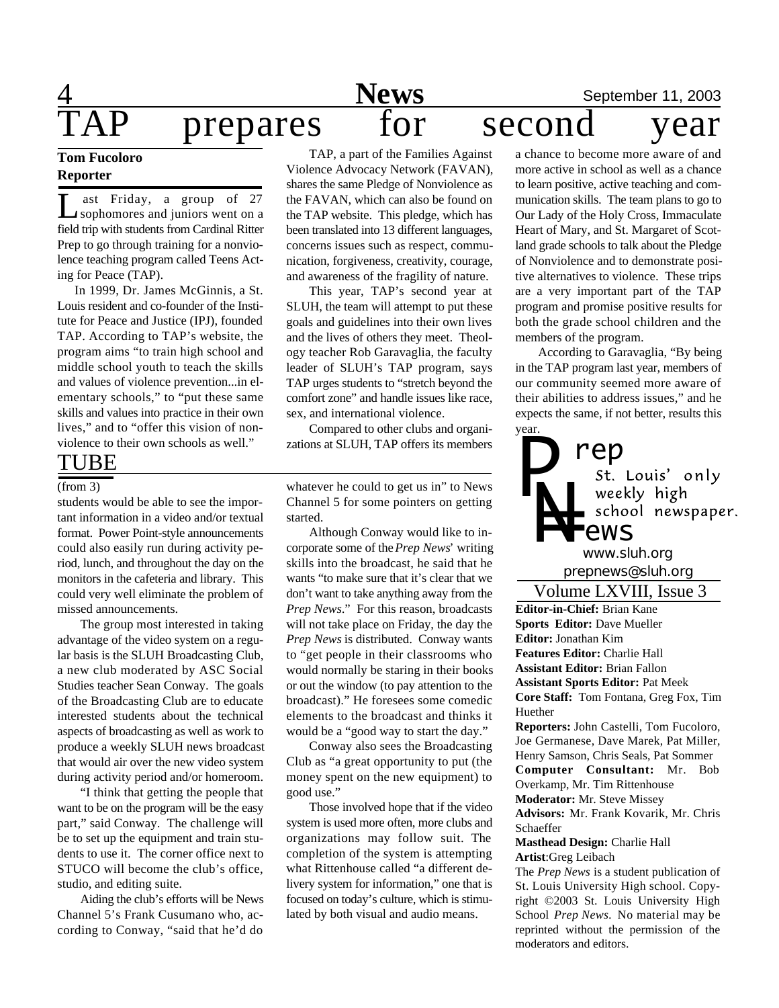## 4 **News** September 11, 2003 prepares for second year

## **Tom Fucoloro Reporter**

Let a start is responsive to the September of the September of the September of a street students from Cardinal Ritter ast Friday, a group of 27 sophomores and juniors went on a Prep to go through training for a nonviolence teaching program called Teens Acting for Peace (TAP).

 In 1999, Dr. James McGinnis, a St. Louis resident and co-founder of the Institute for Peace and Justice (IPJ), founded TAP. According to TAP's website, the program aims "to train high school and middle school youth to teach the skills and values of violence prevention...in elementary schools," to "put these same skills and values into practice in their own lives," and to "offer this vision of nonviolence to their own schools as well."

#### TUBE

#### (from 3)

students would be able to see the important information in a video and/or textual format. Power Point-style announcements could also easily run during activity period, lunch, and throughout the day on the monitors in the cafeteria and library. This could very well eliminate the problem of missed announcements.

The group most interested in taking advantage of the video system on a regular basis is the SLUH Broadcasting Club, a new club moderated by ASC Social Studies teacher Sean Conway. The goals of the Broadcasting Club are to educate interested students about the technical aspects of broadcasting as well as work to produce a weekly SLUH news broadcast that would air over the new video system during activity period and/or homeroom.

"I think that getting the people that want to be on the program will be the easy part," said Conway. The challenge will be to set up the equipment and train students to use it. The corner office next to STUCO will become the club's office, studio, and editing suite.

Aiding the club's efforts will be News Channel 5's Frank Cusumano who, according to Conway, "said that he'd do

TAP, a part of the Families Against Violence Advocacy Network (FAVAN), shares the same Pledge of Nonviolence as the FAVAN, which can also be found on the TAP website. This pledge, which has been translated into 13 different languages, concerns issues such as respect, communication, forgiveness, creativity, courage, and awareness of the fragility of nature.

This year, TAP's second year at SLUH, the team will attempt to put these goals and guidelines into their own lives and the lives of others they meet. Theology teacher Rob Garavaglia, the faculty leader of SLUH's TAP program, says TAP urges students to "stretch beyond the comfort zone" and handle issues like race, sex, and international violence.

Compared to other clubs and organizations at SLUH, TAP offers its members

whatever he could to get us in" to News Channel 5 for some pointers on getting started.

Although Conway would like to incorporate some of the *Prep News*' writing skills into the broadcast, he said that he wants "to make sure that it's clear that we don't want to take anything away from the *Prep News*." For this reason, broadcasts will not take place on Friday, the day the *Prep News* is distributed. Conway wants to "get people in their classrooms who would normally be staring in their books or out the window (to pay attention to the broadcast)." He foresees some comedic elements to the broadcast and thinks it would be a "good way to start the day."

Conway also sees the Broadcasting Club as "a great opportunity to put (the money spent on the new equipment) to good use."

Those involved hope that if the video system is used more often, more clubs and organizations may follow suit. The completion of the system is attempting what Rittenhouse called "a different delivery system for information," one that is focused on today's culture, which is stimulated by both visual and audio means.

a chance to become more aware of and more active in school as well as a chance to learn positive, active teaching and communication skills. The team plans to go to Our Lady of the Holy Cross, Immaculate Heart of Mary, and St. Margaret of Scotland grade schools to talk about the Pledge of Nonviolence and to demonstrate positive alternatives to violence. These trips are a very important part of the TAP program and promise positive results for both the grade school children and the members of the program.

According to Garavaglia, "By being in the TAP program last year, members of our community seemed more aware of their abilities to address issues," and he expects the same, if not better, results this



*prepnews@sluh.org www.sluh.org*

**Editor-in-Chief:** Brian Kane **Sports Editor:** Dave Mueller **Editor:** Jonathan Kim **Features Editor:** Charlie Hall **Assistant Editor:** Brian Fallon **Assistant Sports Editor:** Pat Meek **Core Staff:** Tom Fontana, Greg Fox, Tim Huether **Reporters:** John Castelli, Tom Fucoloro, Joe Germanese, Dave Marek, Pat Miller, Henry Samson, Chris Seals, Pat Sommer **Computer Consultant:** Mr. Bob Overkamp, Mr. Tim Rittenhouse **Moderator:** Mr. Steve Missey **Advisors:** Mr. Frank Kovarik, Mr. Chris Schaeffer **Masthead Design:** Charlie Hall **Artist**:Greg Leibach The *Prep News* is a student publication of St. Louis University High school. Copyright ©2003 St. Louis University High Volume LXVIII, Issue 3

School *Prep News.* No material may be reprinted without the permission of the moderators and editors.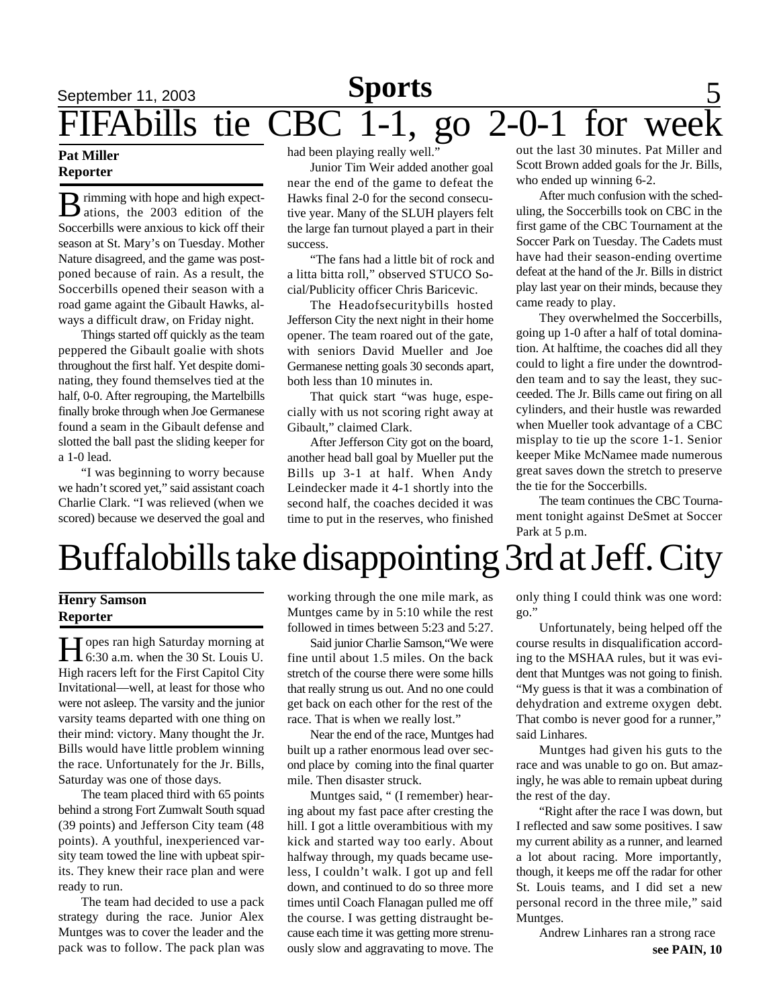## **September 11, 2003 Sports** 5 FIFAbills tie CBC 1-1, go 2-0-1 for wee

#### **Pat Miller Reporter**

**B** rimming with hope and high expect-<br>ations, the 2003 edition of the imming with hope and high expect-Soccerbills were anxious to kick off their season at St. Mary's on Tuesday. Mother Nature disagreed, and the game was postponed because of rain. As a result, the Soccerbills opened their season with a road game againt the Gibault Hawks, always a difficult draw, on Friday night.

Things started off quickly as the team peppered the Gibault goalie with shots throughout the first half. Yet despite dominating, they found themselves tied at the half, 0-0. After regrouping, the Martelbills finally broke through when Joe Germanese found a seam in the Gibault defense and slotted the ball past the sliding keeper for a 1-0 lead.

"I was beginning to worry because we hadn't scored yet," said assistant coach Charlie Clark. "I was relieved (when we scored) because we deserved the goal and

had been playing really well."

Junior Tim Weir added another goal near the end of the game to defeat the Hawks final 2-0 for the second consecutive year. Many of the SLUH players felt the large fan turnout played a part in their success.

"The fans had a little bit of rock and a litta bitta roll," observed STUCO Social/Publicity officer Chris Baricevic.

The Headofsecuritybills hosted Jefferson City the next night in their home opener. The team roared out of the gate, with seniors David Mueller and Joe Germanese netting goals 30 seconds apart, both less than 10 minutes in.

That quick start "was huge, especially with us not scoring right away at Gibault," claimed Clark.

After Jefferson City got on the board, another head ball goal by Mueller put the Bills up 3-1 at half. When Andy Leindecker made it 4-1 shortly into the second half, the coaches decided it was time to put in the reserves, who finished out the last 30 minutes. Pat Miller and Scott Brown added goals for the Jr. Bills, who ended up winning 6-2.

After much confusion with the scheduling, the Soccerbills took on CBC in the first game of the CBC Tournament at the Soccer Park on Tuesday. The Cadets must have had their season-ending overtime defeat at the hand of the Jr. Bills in district play last year on their minds, because they came ready to play.

They overwhelmed the Soccerbills, going up 1-0 after a half of total domination. At halftime, the coaches did all they could to light a fire under the downtrodden team and to say the least, they succeeded. The Jr. Bills came out firing on all cylinders, and their hustle was rewarded when Mueller took advantage of a CBC misplay to tie up the score 1-1. Senior keeper Mike McNamee made numerous great saves down the stretch to preserve the tie for the Soccerbills.

The team continues the CBC Tournament tonight against DeSmet at Soccer Park at 5 p.m.

## Buffalobills take disappointing 3rd at Jeff. City

#### **Henry Samson Reporter**

**H** opes ran high Saturday morning at 6:30 a.m. when the 30 St. Louis U. Topes ran high Saturday morning at High racers left for the First Capitol City Invitational—well, at least for those who were not asleep. The varsity and the junior varsity teams departed with one thing on their mind: victory. Many thought the Jr. Bills would have little problem winning the race. Unfortunately for the Jr. Bills, Saturday was one of those days.

The team placed third with 65 points behind a strong Fort Zumwalt South squad (39 points) and Jefferson City team (48 points). A youthful, inexperienced varsity team towed the line with upbeat spirits. They knew their race plan and were ready to run.

The team had decided to use a pack strategy during the race. Junior Alex Muntges was to cover the leader and the pack was to follow. The pack plan was

working through the one mile mark, as Muntges came by in 5:10 while the rest followed in times between 5:23 and 5:27.

Said junior Charlie Samson,"We were fine until about 1.5 miles. On the back stretch of the course there were some hills that really strung us out. And no one could get back on each other for the rest of the race. That is when we really lost."

Near the end of the race, Muntges had built up a rather enormous lead over second place by coming into the final quarter mile. Then disaster struck.

Muntges said, " (I remember) hearing about my fast pace after cresting the hill. I got a little overambitious with my kick and started way too early. About halfway through, my quads became useless, I couldn't walk. I got up and fell down, and continued to do so three more times until Coach Flanagan pulled me off the course. I was getting distraught because each time it was getting more strenuously slow and aggravating to move. The only thing I could think was one word: go."

Unfortunately, being helped off the course results in disqualification according to the MSHAA rules, but it was evident that Muntges was not going to finish. "My guess is that it was a combination of dehydration and extreme oxygen debt. That combo is never good for a runner," said Linhares.

Muntges had given his guts to the race and was unable to go on. But amazingly, he was able to remain upbeat during the rest of the day.

"Right after the race I was down, but I reflected and saw some positives. I saw my current ability as a runner, and learned a lot about racing. More importantly, though, it keeps me off the radar for other St. Louis teams, and I did set a new personal record in the three mile," said Muntges.

**see PAIN, 10** Andrew Linhares ran a strong race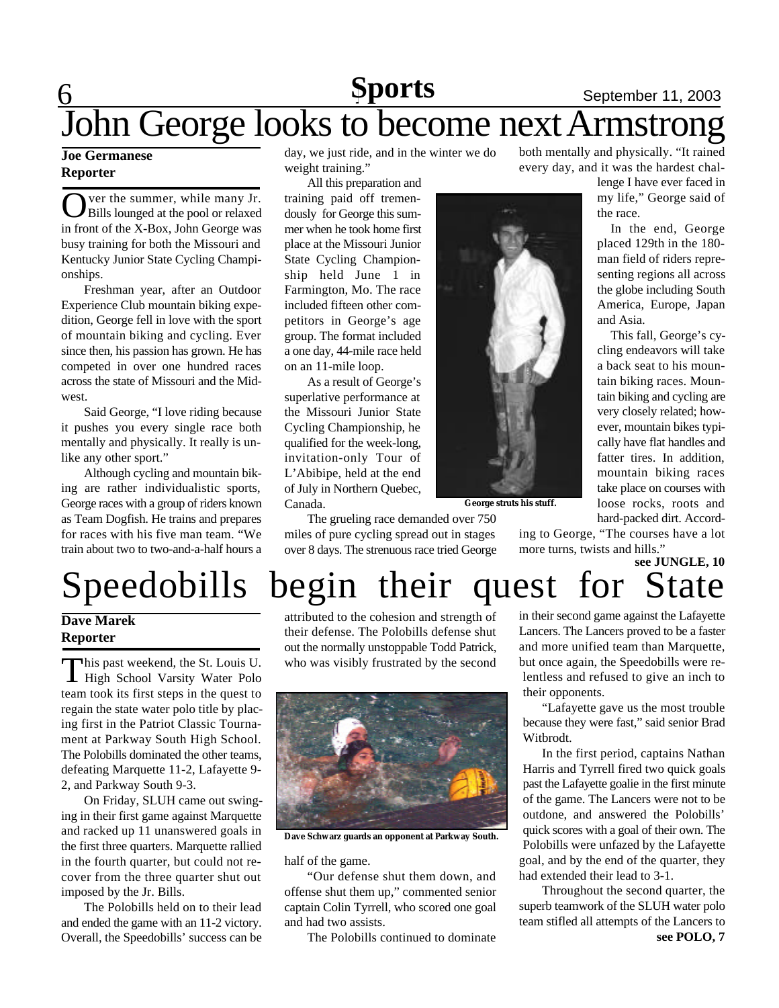## **6 Sports** September 11, 2003 John George looks to become next Armstrong **Sports**

#### **Joe Germanese Reporter**

 $\overline{\text{O}}$ ver the summer, while many Jr. Bills lounged at the pool or relaxed in front of the X-Box, John George was busy training for both the Missouri and Kentucky Junior State Cycling Championships.

Freshman year, after an Outdoor Experience Club mountain biking expedition, George fell in love with the sport of mountain biking and cycling. Ever since then, his passion has grown. He has competed in over one hundred races across the state of Missouri and the Midwest.

Said George, "I love riding because it pushes you every single race both mentally and physically. It really is unlike any other sport."

Although cycling and mountain biking are rather individualistic sports, George races with a group of riders known as Team Dogfish. He trains and prepares for races with his five man team. "We train about two to two-and-a-half hours a

day, we just ride, and in the winter we do weight training."

All this preparation and training paid off tremendously for George this summer when he took home first place at the Missouri Junior State Cycling Championship held June 1 in Farmington, Mo. The race included fifteen other competitors in George's age group. The format included a one day, 44-mile race held on an 11-mile loop.

As a result of George's superlative performance at the Missouri Junior State Cycling Championship, he qualified for the week-long, invitation-only Tour of L'Abibipe, held at the end of July in Northern Quebec, Canada.

The grueling race demanded over 750 miles of pure cycling spread out in stages over 8 days. The strenuous race tried George both mentally and physically. "It rained every day, and it was the hardest chal-

> lenge I have ever faced in my life," George said of the race.

> In the end, George placed 129th in the 180 man field of riders representing regions all across the globe including South America, Europe, Japan and Asia.

> This fall, George's cycling endeavors will take a back seat to his mountain biking races. Mountain biking and cycling are very closely related; however, mountain bikes typically have flat handles and fatter tires. In addition, mountain biking races take place on courses with loose rocks, roots and hard-packed dirt. Accord-

**George struts his stuff.**

ing to George, "The courses have a lot more turns, twists and hills."



#### **Dave Marek Reporter**

This past weekend, the St. Louis U.<br>
High School Varsity Water Polo This past weekend, the St. Louis U. team took its first steps in the quest to regain the state water polo title by placing first in the Patriot Classic Tournament at Parkway South High School. The Polobills dominated the other teams, defeating Marquette 11-2, Lafayette 9- 2, and Parkway South 9-3.

On Friday, SLUH came out swinging in their first game against Marquette and racked up 11 unanswered goals in the first three quarters. Marquette rallied in the fourth quarter, but could not recover from the three quarter shut out imposed by the Jr. Bills.

The Polobills held on to their lead and ended the game with an 11-2 victory. Overall, the Speedobills' success can be attributed to the cohesion and strength of their defense. The Polobills defense shut out the normally unstoppable Todd Patrick, who was visibly frustrated by the second



**Dave Schwarz guards an opponent at Parkway South.**

half of the game.

"Our defense shut them down, and offense shut them up," commented senior captain Colin Tyrrell, who scored one goal and had two assists.

The Polobills continued to dominate

in their second game against the Lafayette Lancers. The Lancers proved to be a faster and more unified team than Marquette, but once again, the Speedobills were relentless and refused to give an inch to their opponents.

"Lafayette gave us the most trouble because they were fast," said senior Brad Witbrodt.

In the first period, captains Nathan Harris and Tyrrell fired two quick goals past the Lafayette goalie in the first minute of the game. The Lancers were not to be outdone, and answered the Polobills' quick scores with a goal of their own. The Polobills were unfazed by the Lafayette goal, and by the end of the quarter, they had extended their lead to 3-1.

**see POLO, 7** Throughout the second quarter, the superb teamwork of the SLUH water polo team stifled all attempts of the Lancers to

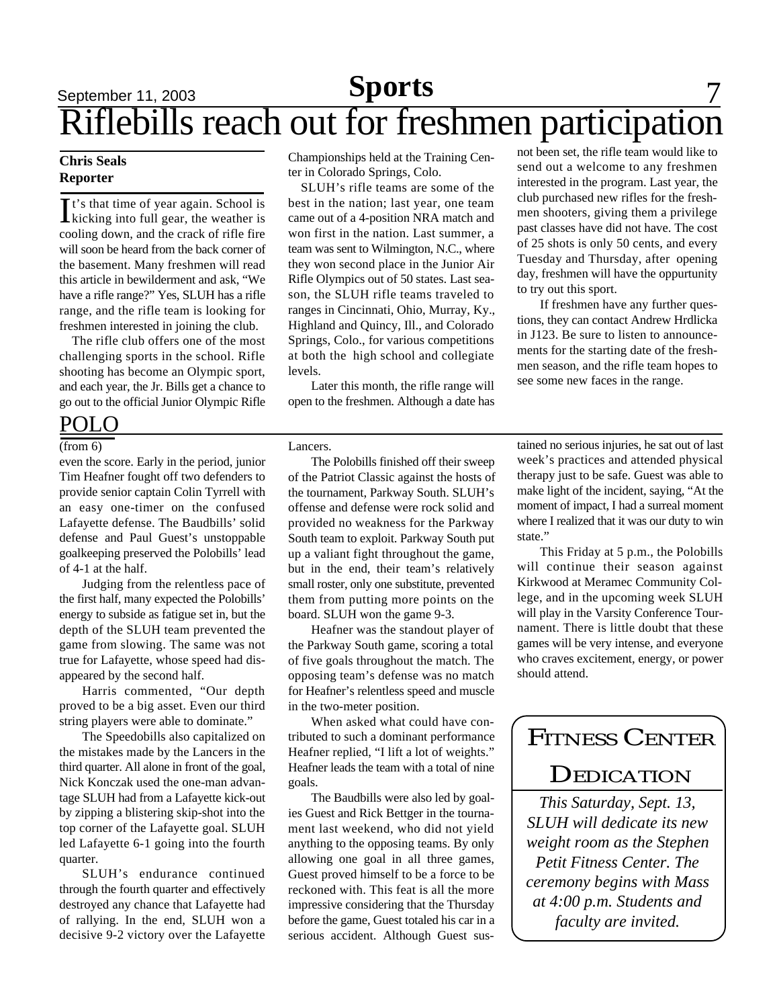## **Sports** 7 Riflebills reach out for freshmen participation

#### **Chris Seals Reporter**

It's that time of year again. School is<br>kicking into full gear, the weather is t's that time of year again. School is cooling down, and the crack of rifle fire will soon be heard from the back corner of the basement. Many freshmen will read this article in bewilderment and ask, "We have a rifle range?" Yes, SLUH has a rifle range, and the rifle team is looking for freshmen interested in joining the club.

The rifle club offers one of the most challenging sports in the school. Rifle shooting has become an Olympic sport, and each year, the Jr. Bills get a chance to go out to the official Junior Olympic Rifle

#### POLO

(from 6)

even the score. Early in the period, junior Tim Heafner fought off two defenders to provide senior captain Colin Tyrrell with an easy one-timer on the confused Lafayette defense. The Baudbills' solid defense and Paul Guest's unstoppable goalkeeping preserved the Polobills' lead of 4-1 at the half.

Judging from the relentless pace of the first half, many expected the Polobills' energy to subside as fatigue set in, but the depth of the SLUH team prevented the game from slowing. The same was not true for Lafayette, whose speed had disappeared by the second half.

Harris commented, "Our depth proved to be a big asset. Even our third string players were able to dominate."

The Speedobills also capitalized on the mistakes made by the Lancers in the third quarter. All alone in front of the goal, Nick Konczak used the one-man advantage SLUH had from a Lafayette kick-out by zipping a blistering skip-shot into the top corner of the Lafayette goal. SLUH led Lafayette 6-1 going into the fourth quarter.

SLUH's endurance continued through the fourth quarter and effectively destroyed any chance that Lafayette had of rallying. In the end, SLUH won a decisive 9-2 victory over the Lafayette

Championships held at the Training Center in Colorado Springs, Colo.

SLUH's rifle teams are some of the best in the nation; last year, one team came out of a 4-position NRA match and won first in the nation. Last summer, a team was sent to Wilmington, N.C., where they won second place in the Junior Air Rifle Olympics out of 50 states. Last season, the SLUH rifle teams traveled to ranges in Cincinnati, Ohio, Murray, Ky., Highland and Quincy, Ill., and Colorado Springs, Colo., for various competitions at both the high school and collegiate levels.

Later this month, the rifle range will open to the freshmen. Although a date has club purchased new rifles for the freshmen shooters, giving them a privilege past classes have did not have. The cost of 25 shots is only 50 cents, and every Tuesday and Thursday, after opening day, freshmen will have the oppurtunity to try out this sport. If freshmen have any further ques-

not been set, the rifle team would like to send out a welcome to any freshmen interested in the program. Last year, the

tions, they can contact Andrew Hrdlicka in J123. Be sure to listen to announcements for the starting date of the freshmen season, and the rifle team hopes to see some new faces in the range.

Lancers.

The Polobills finished off their sweep of the Patriot Classic against the hosts of the tournament, Parkway South. SLUH's offense and defense were rock solid and provided no weakness for the Parkway South team to exploit. Parkway South put up a valiant fight throughout the game, but in the end, their team's relatively small roster, only one substitute, prevented them from putting more points on the board. SLUH won the game 9-3.

Heafner was the standout player of the Parkway South game, scoring a total of five goals throughout the match. The opposing team's defense was no match for Heafner's relentless speed and muscle in the two-meter position.

When asked what could have contributed to such a dominant performance Heafner replied, "I lift a lot of weights." Heafner leads the team with a total of nine goals.

The Baudbills were also led by goalies Guest and Rick Bettger in the tournament last weekend, who did not yield anything to the opposing teams. By only allowing one goal in all three games, Guest proved himself to be a force to be reckoned with. This feat is all the more impressive considering that the Thursday before the game, Guest totaled his car in a serious accident. Although Guest sustained no serious injuries, he sat out of last week's practices and attended physical therapy just to be safe. Guest was able to make light of the incident, saying, "At the moment of impact, I had a surreal moment where I realized that it was our duty to win state."

This Friday at 5 p.m., the Polobills will continue their season against Kirkwood at Meramec Community College, and in the upcoming week SLUH will play in the Varsity Conference Tournament. There is little doubt that these games will be very intense, and everyone who craves excitement, energy, or power should attend.

# FITNESS CENTER

### **DEDICATION**

*This Saturday, Sept. 13, SLUH will dedicate its new weight room as the Stephen Petit Fitness Center. The ceremony begins with Mass at 4:00 p.m. Students and faculty are invited.*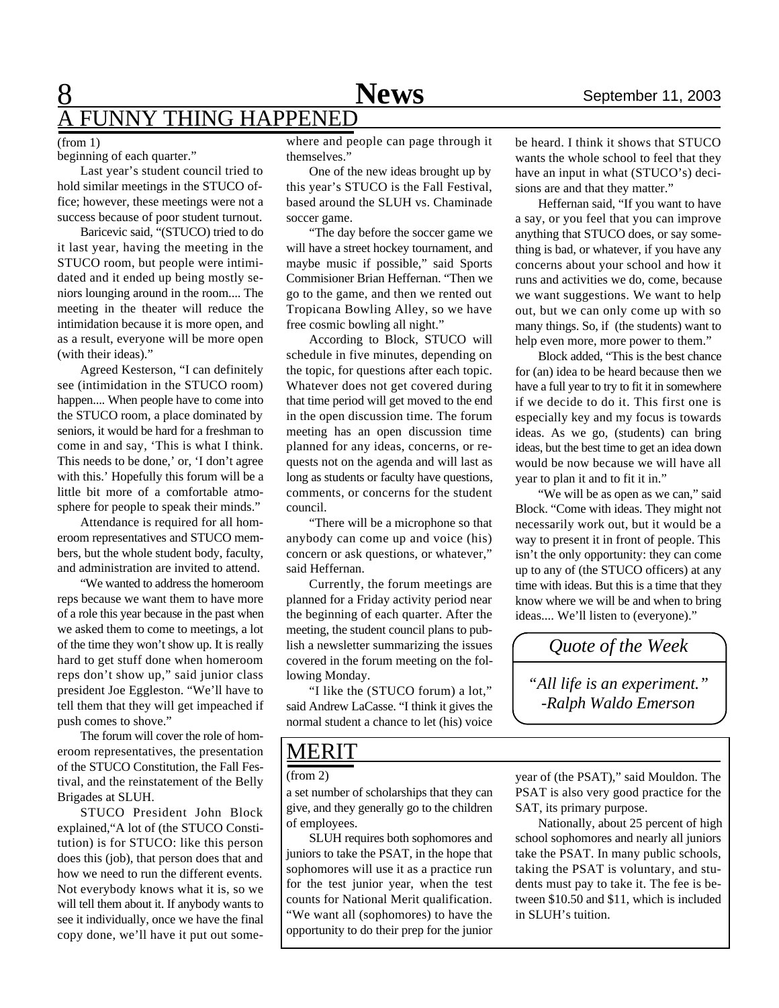## FUNNY THING HAPPENED

#### (from 1)

beginning of each quarter."

Last year's student council tried to hold similar meetings in the STUCO office; however, these meetings were not a success because of poor student turnout.

Baricevic said, "(STUCO) tried to do it last year, having the meeting in the STUCO room, but people were intimidated and it ended up being mostly seniors lounging around in the room.... The meeting in the theater will reduce the intimidation because it is more open, and as a result, everyone will be more open (with their ideas)."

Agreed Kesterson, "I can definitely see (intimidation in the STUCO room) happen.... When people have to come into the STUCO room, a place dominated by seniors, it would be hard for a freshman to come in and say, 'This is what I think. This needs to be done,' or, 'I don't agree with this.' Hopefully this forum will be a little bit more of a comfortable atmosphere for people to speak their minds."

Attendance is required for all homeroom representatives and STUCO members, but the whole student body, faculty, and administration are invited to attend.

"We wanted to address the homeroom reps because we want them to have more of a role this year because in the past when we asked them to come to meetings, a lot of the time they won't show up. It is really hard to get stuff done when homeroom reps don't show up," said junior class president Joe Eggleston. "We'll have to tell them that they will get impeached if push comes to shove."

The forum will cover the role of homeroom representatives, the presentation of the STUCO Constitution, the Fall Festival, and the reinstatement of the Belly Brigades at SLUH.

STUCO President John Block explained,"A lot of (the STUCO Constitution) is for STUCO: like this person does this (job), that person does that and how we need to run the different events. Not everybody knows what it is, so we will tell them about it. If anybody wants to see it individually, once we have the final copy done, we'll have it put out some-

where and people can page through it themselves."

One of the new ideas brought up by this year's STUCO is the Fall Festival, based around the SLUH vs. Chaminade soccer game.

"The day before the soccer game we will have a street hockey tournament, and maybe music if possible," said Sports Commisioner Brian Heffernan. "Then we go to the game, and then we rented out Tropicana Bowling Alley, so we have free cosmic bowling all night."

According to Block, STUCO will schedule in five minutes, depending on the topic, for questions after each topic. Whatever does not get covered during that time period will get moved to the end in the open discussion time. The forum meeting has an open discussion time planned for any ideas, concerns, or requests not on the agenda and will last as long as students or faculty have questions, comments, or concerns for the student council.

"There will be a microphone so that anybody can come up and voice (his) concern or ask questions, or whatever," said Heffernan.

Currently, the forum meetings are planned for a Friday activity period near the beginning of each quarter. After the meeting, the student council plans to publish a newsletter summarizing the issues covered in the forum meeting on the following Monday.

"I like the (STUCO forum) a lot," said Andrew LaCasse. "I think it gives the normal student a chance to let (his) voice

be heard. I think it shows that STUCO wants the whole school to feel that they have an input in what (STUCO's) decisions are and that they matter."

Heffernan said, "If you want to have a say, or you feel that you can improve anything that STUCO does, or say something is bad, or whatever, if you have any concerns about your school and how it runs and activities we do, come, because we want suggestions. We want to help out, but we can only come up with so many things. So, if (the students) want to help even more, more power to them."

Block added, "This is the best chance for (an) idea to be heard because then we have a full year to try to fit it in somewhere if we decide to do it. This first one is especially key and my focus is towards ideas. As we go, (students) can bring ideas, but the best time to get an idea down would be now because we will have all year to plan it and to fit it in."

"We will be as open as we can," said Block. "Come with ideas. They might not necessarily work out, but it would be a way to present it in front of people. This isn't the only opportunity: they can come up to any of (the STUCO officers) at any time with ideas. But this is a time that they know where we will be and when to bring ideas.... We'll listen to (everyone)."

*Quote of the Week*

*"All life is an experiment." -Ralph Waldo Emerson*

#### MERIT

a set number of scholarships that they can give, and they generally go to the children of employees.

SLUH requires both sophomores and juniors to take the PSAT, in the hope that sophomores will use it as a practice run for the test junior year, when the test counts for National Merit qualification. "We want all (sophomores) to have the opportunity to do their prep for the junior

(from 2) year of (the PSAT)," said Mouldon. The PSAT is also very good practice for the SAT, its primary purpose.

> Nationally, about 25 percent of high school sophomores and nearly all juniors take the PSAT. In many public schools, taking the PSAT is voluntary, and students must pay to take it. The fee is between \$10.50 and \$11, which is included in SLUH's tuition.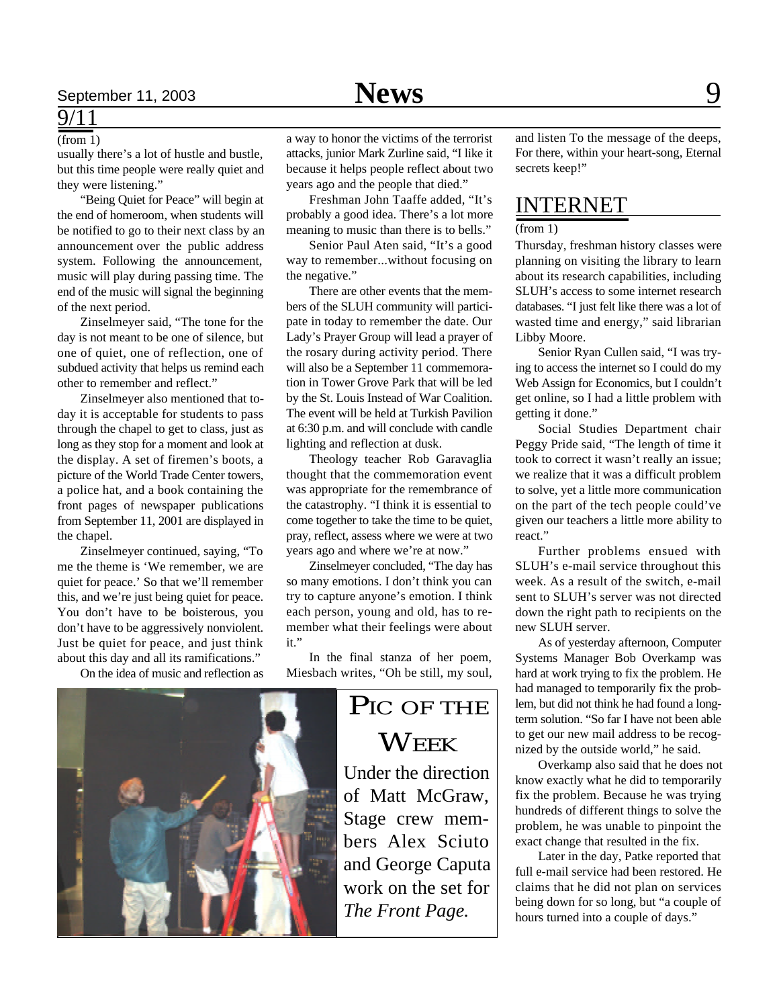### $9/$

(from 1)

usually there's a lot of hustle and bustle, but this time people were really quiet and they were listening."

"Being Quiet for Peace" will begin at the end of homeroom, when students will be notified to go to their next class by an announcement over the public address system. Following the announcement, music will play during passing time. The end of the music will signal the beginning of the next period.

Zinselmeyer said, "The tone for the day is not meant to be one of silence, but one of quiet, one of reflection, one of subdued activity that helps us remind each other to remember and reflect."

Zinselmeyer also mentioned that today it is acceptable for students to pass through the chapel to get to class, just as long as they stop for a moment and look at the display. A set of firemen's boots, a picture of the World Trade Center towers, a police hat, and a book containing the front pages of newspaper publications from September 11, 2001 are displayed in the chapel.

Zinselmeyer continued, saying, "To me the theme is 'We remember, we are quiet for peace.' So that we'll remember this, and we're just being quiet for peace. You don't have to be boisterous, you don't have to be aggressively nonviolent. Just be quiet for peace, and just think about this day and all its ramifications."

On the idea of music and reflection as

a way to honor the victims of the terrorist attacks, junior Mark Zurline said, "I like it because it helps people reflect about two years ago and the people that died."

Freshman John Taaffe added, "It's probably a good idea. There's a lot more meaning to music than there is to bells."

Senior Paul Aten said, "It's a good way to remember...without focusing on the negative."

There are other events that the members of the SLUH community will participate in today to remember the date. Our Lady's Prayer Group will lead a prayer of the rosary during activity period. There will also be a September 11 commemoration in Tower Grove Park that will be led by the St. Louis Instead of War Coalition. The event will be held at Turkish Pavilion at 6:30 p.m. and will conclude with candle lighting and reflection at dusk.

Theology teacher Rob Garavaglia thought that the commemoration event was appropriate for the remembrance of the catastrophy. "I think it is essential to come together to take the time to be quiet, pray, reflect, assess where we were at two years ago and where we're at now."

Zinselmeyer concluded, "The day has so many emotions. I don't think you can try to capture anyone's emotion. I think each person, young and old, has to remember what their feelings were about it."

In the final stanza of her poem, Miesbach writes, "Oh be still, my soul,

# PIC OF THE **WEEK**

Under the direction of Matt McGraw, Stage crew members Alex Sciuto and George Caputa work on the set for *The Front Page*.

and listen To the message of the deeps, For there, within your heart-song, Eternal secrets keep!"

### INTERNET

#### (from 1)

Thursday, freshman history classes were planning on visiting the library to learn about its research capabilities, including SLUH's access to some internet research databases. "I just felt like there was a lot of wasted time and energy," said librarian Libby Moore.

Senior Ryan Cullen said, "I was trying to access the internet so I could do my Web Assign for Economics, but I couldn't get online, so I had a little problem with getting it done."

Social Studies Department chair Peggy Pride said, "The length of time it took to correct it wasn't really an issue; we realize that it was a difficult problem to solve, yet a little more communication on the part of the tech people could've given our teachers a little more ability to react."

Further problems ensued with SLUH's e-mail service throughout this week. As a result of the switch, e-mail sent to SLUH's server was not directed down the right path to recipients on the new SLUH server.

As of yesterday afternoon, Computer Systems Manager Bob Overkamp was hard at work trying to fix the problem. He had managed to temporarily fix the problem, but did not think he had found a longterm solution. "So far I have not been able to get our new mail address to be recognized by the outside world," he said.

Overkamp also said that he does not know exactly what he did to temporarily fix the problem. Because he was trying hundreds of different things to solve the problem, he was unable to pinpoint the exact change that resulted in the fix.

Later in the day, Patke reported that full e-mail service had been restored. He claims that he did not plan on services being down for so long, but "a couple of hours turned into a couple of days."

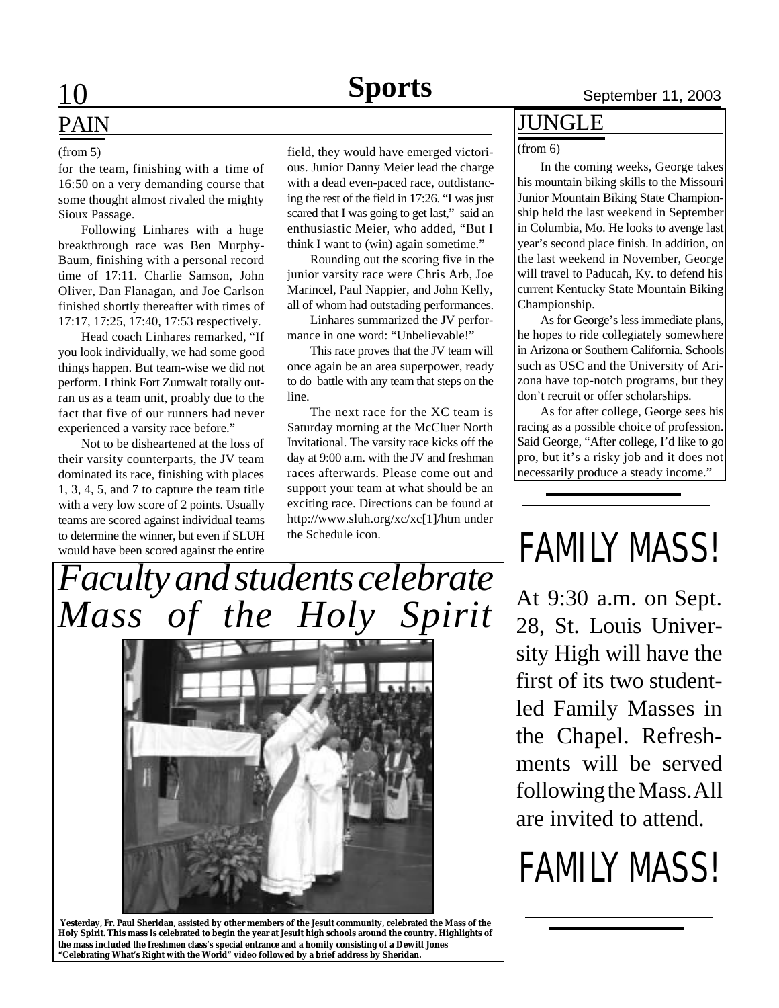# **PAIN**

#### (from 5)

for the team, finishing with a time of 16:50 on a very demanding course that some thought almost rivaled the mighty Sioux Passage.

Following Linhares with a huge breakthrough race was Ben Murphy-Baum, finishing with a personal record time of 17:11. Charlie Samson, John Oliver, Dan Flanagan, and Joe Carlson finished shortly thereafter with times of 17:17, 17:25, 17:40, 17:53 respectively.

Head coach Linhares remarked, "If you look individually, we had some good things happen. But team-wise we did not perform. I think Fort Zumwalt totally outran us as a team unit, proably due to the fact that five of our runners had never experienced a varsity race before."

Not to be disheartened at the loss of their varsity counterparts, the JV team dominated its race, finishing with places 1, 3, 4, 5, and 7 to capture the team title with a very low score of 2 points. Usually teams are scored against individual teams to determine the winner, but even if SLUH would have been scored against the entire

field, they would have emerged victorious. Junior Danny Meier lead the charge with a dead even-paced race, outdistancing the rest of the field in 17:26. "I was just scared that I was going to get last," said an enthusiastic Meier, who added, "But I think I want to (win) again sometime."

Rounding out the scoring five in the junior varsity race were Chris Arb, Joe Marincel, Paul Nappier, and John Kelly, all of whom had outstading performances.

Linhares summarized the JV performance in one word: "Unbelievable!"

This race proves that the JV team will once again be an area superpower, ready to do battle with any team that steps on the line.

The next race for the XC team is Saturday morning at the McCluer North Invitational. The varsity race kicks off the day at 9:00 a.m. with the JV and freshman races afterwards. Please come out and support your team at what should be an exciting race. Directions can be found at http://www.sluh.org/xc/xc[1]/htm under the Schedule icon.

#### JUNGLE

#### (from 6)

In the coming weeks, George takes his mountain biking skills to the Missouri Junior Mountain Biking State Championship held the last weekend in September in Columbia, Mo. He looks to avenge last year's second place finish. In addition, on the last weekend in November, George will travel to Paducah, Ky. to defend his current Kentucky State Mountain Biking Championship.

As for George's less immediate plans, he hopes to ride collegiately somewhere in Arizona or Southern California. Schools such as USC and the University of Arizona have top-notch programs, but they don't recruit or offer scholarships.

As for after college, George sees his racing as a possible choice of profession. Said George, "After college, I'd like to go pro, but it's a risky job and it does not necessarily produce a steady income."

## *Faculty and students celebrate Mass of the Holy Spirit*



 **Yesterday, Fr. Paul Sheridan, assisted by other members of the Jesuit community, celebrated the Mass of the Holy Spirit. This mass is celebrated to begin the year at Jesuit high schools around the country. Highlights of the mass included the freshmen class's special entrance and a homily consisting of a Dewitt Jones "Celebrating What's Right with the World" video followed by a brief address by Sheridan.**

## FAMILY MASS!

At 9:30 a.m. on Sept. 28, St. Louis University High will have the first of its two studentled Family Masses in the Chapel. Refreshments will be served following the Mass. All are invited to attend.

# FAMILY MASS!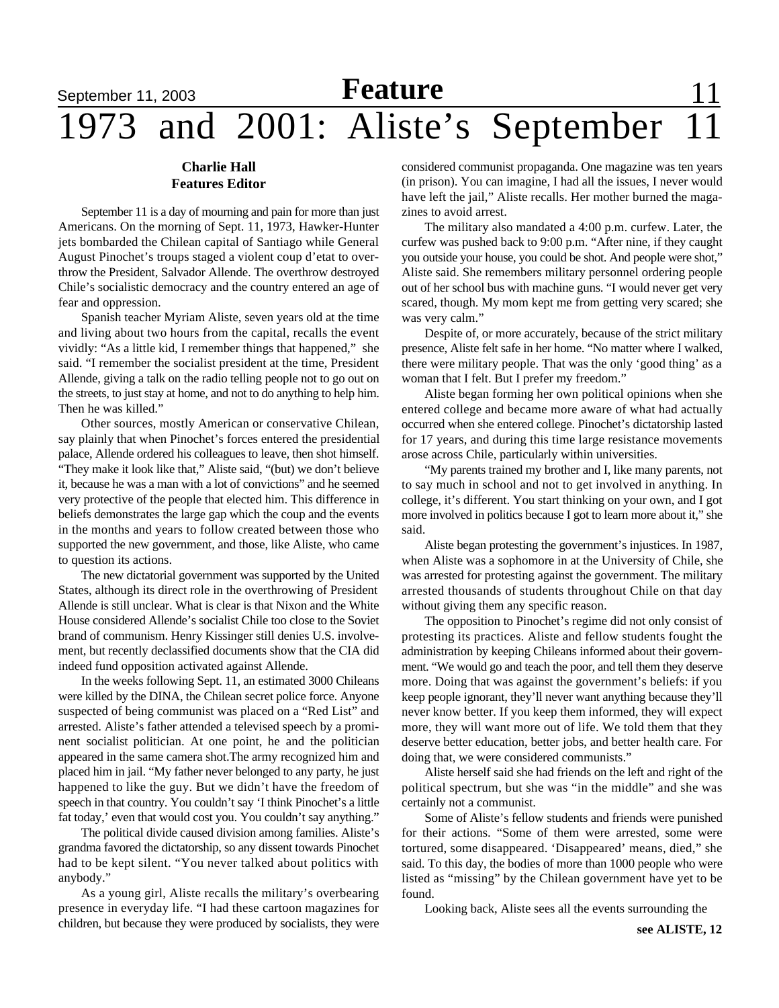## **September 11, 2003 Feature** 11, 2003 1973 and 2001: Aliste's September 11

#### **Charlie Hall Features Editor**

September 11 is a day of mourning and pain for more than just Americans. On the morning of Sept. 11, 1973, Hawker-Hunter jets bombarded the Chilean capital of Santiago while General August Pinochet's troups staged a violent coup d'etat to overthrow the President, Salvador Allende. The overthrow destroyed Chile's socialistic democracy and the country entered an age of fear and oppression.

Spanish teacher Myriam Aliste, seven years old at the time and living about two hours from the capital, recalls the event vividly: "As a little kid, I remember things that happened," she said. "I remember the socialist president at the time, President Allende, giving a talk on the radio telling people not to go out on the streets, to just stay at home, and not to do anything to help him. Then he was killed."

Other sources, mostly American or conservative Chilean, say plainly that when Pinochet's forces entered the presidential palace, Allende ordered his colleagues to leave, then shot himself. "They make it look like that," Aliste said, "(but) we don't believe it, because he was a man with a lot of convictions" and he seemed very protective of the people that elected him. This difference in beliefs demonstrates the large gap which the coup and the events in the months and years to follow created between those who supported the new government, and those, like Aliste, who came to question its actions.

The new dictatorial government was supported by the United States, although its direct role in the overthrowing of President Allende is still unclear. What is clear is that Nixon and the White House considered Allende's socialist Chile too close to the Soviet brand of communism. Henry Kissinger still denies U.S. involvement, but recently declassified documents show that the CIA did indeed fund opposition activated against Allende.

In the weeks following Sept. 11, an estimated 3000 Chileans were killed by the DINA, the Chilean secret police force. Anyone suspected of being communist was placed on a "Red List" and arrested. Aliste's father attended a televised speech by a prominent socialist politician. At one point, he and the politician appeared in the same camera shot.The army recognized him and placed him in jail. "My father never belonged to any party, he just happened to like the guy. But we didn't have the freedom of speech in that country. You couldn't say 'I think Pinochet's a little fat today,' even that would cost you. You couldn't say anything."

The political divide caused division among families. Aliste's grandma favored the dictatorship, so any dissent towards Pinochet had to be kept silent. "You never talked about politics with anybody."

As a young girl, Aliste recalls the military's overbearing presence in everyday life. "I had these cartoon magazines for children, but because they were produced by socialists, they were considered communist propaganda. One magazine was ten years (in prison). You can imagine, I had all the issues, I never would have left the jail," Aliste recalls. Her mother burned the magazines to avoid arrest.

The military also mandated a 4:00 p.m. curfew. Later, the curfew was pushed back to 9:00 p.m. "After nine, if they caught you outside your house, you could be shot. And people were shot," Aliste said. She remembers military personnel ordering people out of her school bus with machine guns. "I would never get very scared, though. My mom kept me from getting very scared; she was very calm."

Despite of, or more accurately, because of the strict military presence, Aliste felt safe in her home. "No matter where I walked, there were military people. That was the only 'good thing' as a woman that I felt. But I prefer my freedom."

Aliste began forming her own political opinions when she entered college and became more aware of what had actually occurred when she entered college. Pinochet's dictatorship lasted for 17 years, and during this time large resistance movements arose across Chile, particularly within universities.

"My parents trained my brother and I, like many parents, not to say much in school and not to get involved in anything. In college, it's different. You start thinking on your own, and I got more involved in politics because I got to learn more about it," she said.

Aliste began protesting the government's injustices. In 1987, when Aliste was a sophomore in at the University of Chile, she was arrested for protesting against the government. The military arrested thousands of students throughout Chile on that day without giving them any specific reason.

The opposition to Pinochet's regime did not only consist of protesting its practices. Aliste and fellow students fought the administration by keeping Chileans informed about their government. "We would go and teach the poor, and tell them they deserve more. Doing that was against the government's beliefs: if you keep people ignorant, they'll never want anything because they'll never know better. If you keep them informed, they will expect more, they will want more out of life. We told them that they deserve better education, better jobs, and better health care. For doing that, we were considered communists."

Aliste herself said she had friends on the left and right of the political spectrum, but she was "in the middle" and she was certainly not a communist.

Some of Aliste's fellow students and friends were punished for their actions. "Some of them were arrested, some were tortured, some disappeared. 'Disappeared' means, died," she said. To this day, the bodies of more than 1000 people who were listed as "missing" by the Chilean government have yet to be found.

Looking back, Aliste sees all the events surrounding the